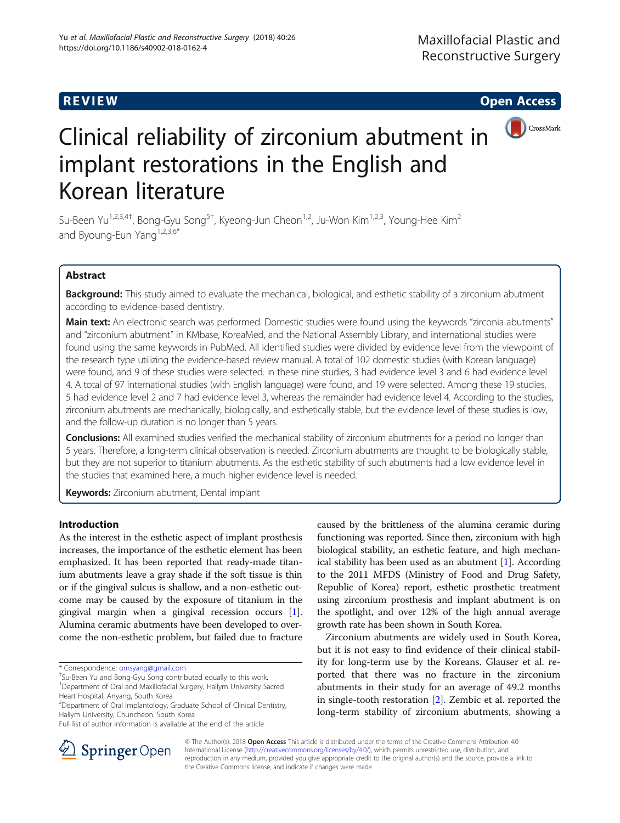



# Clinical reliability of zirconium abutment in implant restorations in the English and Korean literature

Su-Been Yu<sup>1,2,3,4†</sup>, Bong-Gyu Song<sup>5†</sup>, Kyeong-Jun Cheon<sup>1,2</sup>, Ju-Won Kim<sup>1,2,3</sup>, Young-Hee Kim<sup>2</sup> and Byoung-Eun Yang<sup>1,2,3,6\*</sup>

# Abstract

Background: This study aimed to evaluate the mechanical, biological, and esthetic stability of a zirconium abutment according to evidence-based dentistry.

Main text: An electronic search was performed. Domestic studies were found using the keywords "zirconia abutments" and "zirconium abutment" in KMbase, KoreaMed, and the National Assembly Library, and international studies were found using the same keywords in PubMed. All identified studies were divided by evidence level from the viewpoint of the research type utilizing the evidence-based review manual. A total of 102 domestic studies (with Korean language) were found, and 9 of these studies were selected. In these nine studies, 3 had evidence level 3 and 6 had evidence level 4. A total of 97 international studies (with English language) were found, and 19 were selected. Among these 19 studies, 5 had evidence level 2 and 7 had evidence level 3, whereas the remainder had evidence level 4. According to the studies, zirconium abutments are mechanically, biologically, and esthetically stable, but the evidence level of these studies is low, and the follow-up duration is no longer than 5 years.

**Conclusions:** All examined studies verified the mechanical stability of zirconium abutments for a period no longer than 5 years. Therefore, a long-term clinical observation is needed. Zirconium abutments are thought to be biologically stable, but they are not superior to titanium abutments. As the esthetic stability of such abutments had a low evidence level in the studies that examined here, a much higher evidence level is needed.

Keywords: Zirconium abutment, Dental implant

# Introduction

As the interest in the esthetic aspect of implant prosthesis increases, the importance of the esthetic element has been emphasized. It has been reported that ready-made titanium abutments leave a gray shade if the soft tissue is thin or if the gingival sulcus is shallow, and a non-esthetic outcome may be caused by the exposure of titanium in the gingival margin when a gingival recession occurs [[1](#page-8-0)]. Alumina ceramic abutments have been developed to overcome the non-esthetic problem, but failed due to fracture

caused by the brittleness of the alumina ceramic during functioning was reported. Since then, zirconium with high biological stability, an esthetic feature, and high mechanical stability has been used as an abutment [[1\]](#page-8-0). According to the 2011 MFDS (Ministry of Food and Drug Safety, Republic of Korea) report, esthetic prosthetic treatment using zirconium prosthesis and implant abutment is on the spotlight, and over 12% of the high annual average growth rate has been shown in South Korea.

Zirconium abutments are widely used in South Korea, but it is not easy to find evidence of their clinical stability for long-term use by the Koreans. Glauser et al. reported that there was no fracture in the zirconium abutments in their study for an average of 49.2 months in single-tooth restoration [\[2](#page-8-0)]. Zembic et al. reported the long-term stability of zirconium abutments, showing a



© The Author(s). 2018 Open Access This article is distributed under the terms of the Creative Commons Attribution 4.0 International License ([http://creativecommons.org/licenses/by/4.0/\)](http://creativecommons.org/licenses/by/4.0/), which permits unrestricted use, distribution, and reproduction in any medium, provided you give appropriate credit to the original author(s) and the source, provide a link to the Creative Commons license, and indicate if changes were made.

<sup>\*</sup> Correspondence: [omsyang@gmail.com](mailto:omsyang@gmail.com) †

<sup>&</sup>lt;sup>+</sup>Su-Been Yu and Bong-Gyu Song contributed equally to this work.

<sup>&</sup>lt;sup>1</sup>Department of Oral and Maxillofacial Surgery, Hallym University Sacred Heart Hospital, Anyang, South Korea

<sup>&</sup>lt;sup>2</sup> Department of Oral Implantology, Graduate School of Clinical Dentistry, Hallym University, Chuncheon, South Korea

Full list of author information is available at the end of the article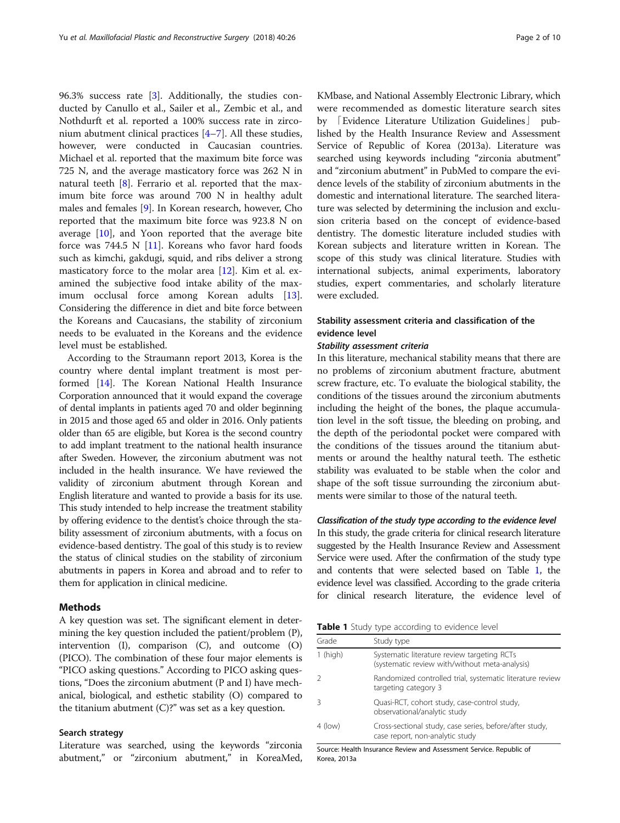96.3% success rate [[3\]](#page-8-0). Additionally, the studies conducted by Canullo et al., Sailer et al., Zembic et al., and Nothdurft et al. reported a 100% success rate in zirconium abutment clinical practices [\[4](#page-8-0)–[7\]](#page-8-0). All these studies, however, were conducted in Caucasian countries. Michael et al. reported that the maximum bite force was 725 N, and the average masticatory force was 262 N in natural teeth [\[8](#page-8-0)]. Ferrario et al. reported that the maximum bite force was around 700 N in healthy adult males and females [[9\]](#page-8-0). In Korean research, however, Cho reported that the maximum bite force was 923.8 N on average [\[10\]](#page-8-0), and Yoon reported that the average bite force was 744.5 N  $[11]$ . Koreans who favor hard foods such as kimchi, gakdugi, squid, and ribs deliver a strong masticatory force to the molar area [\[12\]](#page-8-0). Kim et al. examined the subjective food intake ability of the maximum occlusal force among Korean adults [\[13](#page-8-0)]. Considering the difference in diet and bite force between the Koreans and Caucasians, the stability of zirconium needs to be evaluated in the Koreans and the evidence level must be established.

According to the Straumann report 2013, Korea is the country where dental implant treatment is most performed [[14](#page-8-0)]. The Korean National Health Insurance Corporation announced that it would expand the coverage of dental implants in patients aged 70 and older beginning in 2015 and those aged 65 and older in 2016. Only patients older than 65 are eligible, but Korea is the second country to add implant treatment to the national health insurance after Sweden. However, the zirconium abutment was not included in the health insurance. We have reviewed the validity of zirconium abutment through Korean and English literature and wanted to provide a basis for its use. This study intended to help increase the treatment stability by offering evidence to the dentist's choice through the stability assessment of zirconium abutments, with a focus on evidence-based dentistry. The goal of this study is to review the status of clinical studies on the stability of zirconium abutments in papers in Korea and abroad and to refer to them for application in clinical medicine.

# Methods

A key question was set. The significant element in determining the key question included the patient/problem (P), intervention (I), comparison (C), and outcome (O) (PICO). The combination of these four major elements is "PICO asking questions." According to PICO asking questions, "Does the zirconium abutment (P and I) have mechanical, biological, and esthetic stability (O) compared to the titanium abutment  $(C)$ ?" was set as a key question.

#### Search strategy

Literature was searched, using the keywords "zirconia abutment," or "zirconium abutment," in KoreaMed,

KMbase, and National Assembly Electronic Library, which were recommended as domestic literature search sites by 「Evidence Literature Utilization Guidelines」 published by the Health Insurance Review and Assessment Service of Republic of Korea (2013a). Literature was searched using keywords including "zirconia abutment" and "zirconium abutment" in PubMed to compare the evidence levels of the stability of zirconium abutments in the domestic and international literature. The searched literature was selected by determining the inclusion and exclusion criteria based on the concept of evidence-based dentistry. The domestic literature included studies with Korean subjects and literature written in Korean. The scope of this study was clinical literature. Studies with international subjects, animal experiments, laboratory studies, expert commentaries, and scholarly literature were excluded.

# Stability assessment criteria and classification of the evidence level

# Stability assessment criteria

In this literature, mechanical stability means that there are no problems of zirconium abutment fracture, abutment screw fracture, etc. To evaluate the biological stability, the conditions of the tissues around the zirconium abutments including the height of the bones, the plaque accumulation level in the soft tissue, the bleeding on probing, and the depth of the periodontal pocket were compared with the conditions of the tissues around the titanium abutments or around the healthy natural teeth. The esthetic stability was evaluated to be stable when the color and shape of the soft tissue surrounding the zirconium abutments were similar to those of the natural teeth.

### Classification of the study type according to the evidence level

In this study, the grade criteria for clinical research literature suggested by the Health Insurance Review and Assessment Service were used. After the confirmation of the study type and contents that were selected based on Table 1, the evidence level was classified. According to the grade criteria for clinical research literature, the evidence level of

**Table 1** Study type according to evidence level

| Grade      | Study type                                                                                    |
|------------|-----------------------------------------------------------------------------------------------|
| $1$ (high) | Systematic literature review targeting RCTs<br>(systematic review with/without meta-analysis) |
|            | Randomized controlled trial, systematic literature review<br>targeting category 3             |
|            | Quasi-RCT, cohort study, case-control study,<br>observational/analytic study                  |
| $4$ (low)  | Cross-sectional study, case series, before/after study,<br>case report, non-analytic study    |

Source: Health Insurance Review and Assessment Service. Republic of Korea, 2013a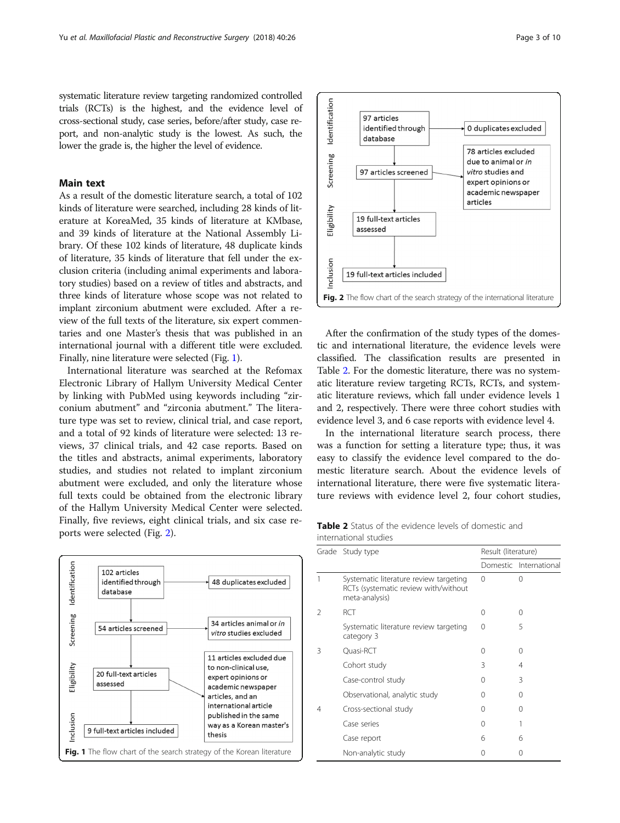systematic literature review targeting randomized controlled trials (RCTs) is the highest, and the evidence level of cross-sectional study, case series, before/after study, case report, and non-analytic study is the lowest. As such, the lower the grade is, the higher the level of evidence.

# Main text

As a result of the domestic literature search, a total of 102 kinds of literature were searched, including 28 kinds of literature at KoreaMed, 35 kinds of literature at KMbase, and 39 kinds of literature at the National Assembly Library. Of these 102 kinds of literature, 48 duplicate kinds of literature, 35 kinds of literature that fell under the exclusion criteria (including animal experiments and laboratory studies) based on a review of titles and abstracts, and three kinds of literature whose scope was not related to implant zirconium abutment were excluded. After a review of the full texts of the literature, six expert commentaries and one Master's thesis that was published in an international journal with a different title were excluded. Finally, nine literature were selected (Fig. 1).

International literature was searched at the Refomax Electronic Library of Hallym University Medical Center by linking with PubMed using keywords including "zirconium abutment" and "zirconia abutment." The literature type was set to review, clinical trial, and case report, and a total of 92 kinds of literature were selected: 13 reviews, 37 clinical trials, and 42 case reports. Based on the titles and abstracts, animal experiments, laboratory studies, and studies not related to implant zirconium abutment were excluded, and only the literature whose full texts could be obtained from the electronic library of the Hallym University Medical Center were selected. Finally, five reviews, eight clinical trials, and six case reports were selected (Fig. 2).





After the confirmation of the study types of the domestic and international literature, the evidence levels were classified. The classification results are presented in Table 2. For the domestic literature, there was no systematic literature review targeting RCTs, RCTs, and systematic literature reviews, which fall under evidence levels 1 and 2, respectively. There were three cohort studies with evidence level 3, and 6 case reports with evidence level 4.

In the international literature search process, there was a function for setting a literature type; thus, it was easy to classify the evidence level compared to the domestic literature search. About the evidence levels of international literature, there were five systematic literature reviews with evidence level 2, four cohort studies,

|                       |  |  | <b>Table 2</b> Status of the evidence levels of domestic and |  |
|-----------------------|--|--|--------------------------------------------------------------|--|
| international studies |  |  |                                                              |  |

|   | Grade Study type                                                                                 |          | Result (literature)    |  |  |
|---|--------------------------------------------------------------------------------------------------|----------|------------------------|--|--|
|   |                                                                                                  |          | Domestic International |  |  |
| 1 | Systematic literature review targeting<br>RCTs (systematic review with/without<br>meta-analysis) | $\Omega$ | 0                      |  |  |
| 2 | RCT                                                                                              | 0        | 0                      |  |  |
|   | Systematic literature review targeting<br>category 3                                             | 0        | 5                      |  |  |
| 3 | Quasi-RCT                                                                                        | $^{(1)}$ | ∩                      |  |  |
|   | Cohort study                                                                                     | 3        | 4                      |  |  |
|   | Case-control study                                                                               | Ω        | 3                      |  |  |
|   | Observational, analytic study                                                                    | $^{(1)}$ | 0                      |  |  |
| 4 | Cross-sectional study                                                                            | Ω        | 0                      |  |  |
|   | Case series                                                                                      | Ω        |                        |  |  |
|   | Case report                                                                                      | 6        | 6                      |  |  |
|   | Non-analytic study                                                                               | Ω        | 0                      |  |  |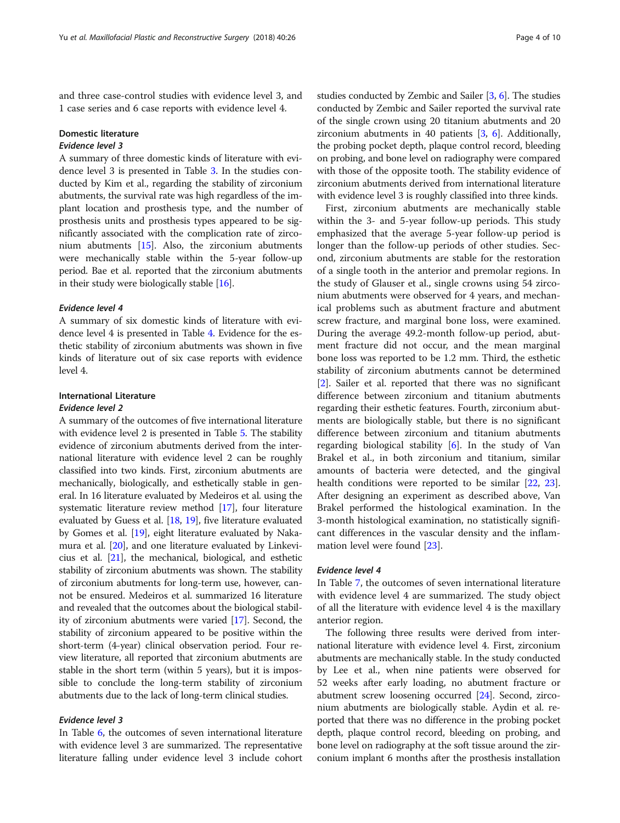and three case-control studies with evidence level 3, and 1 case series and 6 case reports with evidence level 4.

# Domestic literature

# Evidence level 3

A summary of three domestic kinds of literature with evidence level 3 is presented in Table [3](#page-4-0). In the studies conducted by Kim et al., regarding the stability of zirconium abutments, the survival rate was high regardless of the implant location and prosthesis type, and the number of prosthesis units and prosthesis types appeared to be significantly associated with the complication rate of zirconium abutments [\[15](#page-8-0)]. Also, the zirconium abutments were mechanically stable within the 5-year follow-up period. Bae et al. reported that the zirconium abutments in their study were biologically stable [\[16\]](#page-8-0).

# Evidence level 4

A summary of six domestic kinds of literature with evidence level 4 is presented in Table [4.](#page-5-0) Evidence for the esthetic stability of zirconium abutments was shown in five kinds of literature out of six case reports with evidence level 4.

# International Literature

#### Evidence level 2

A summary of the outcomes of five international literature with evidence level 2 is presented in Table [5.](#page-5-0) The stability evidence of zirconium abutments derived from the international literature with evidence level 2 can be roughly classified into two kinds. First, zirconium abutments are mechanically, biologically, and esthetically stable in general. In 16 literature evaluated by Medeiros et al. using the systematic literature review method [\[17\]](#page-8-0), four literature evaluated by Guess et al. [\[18,](#page-8-0) [19\]](#page-8-0), five literature evaluated by Gomes et al. [\[19\]](#page-8-0), eight literature evaluated by Nakamura et al. [\[20\]](#page-8-0), and one literature evaluated by Linkevicius et al. [\[21\]](#page-8-0), the mechanical, biological, and esthetic stability of zirconium abutments was shown. The stability of zirconium abutments for long-term use, however, cannot be ensured. Medeiros et al. summarized 16 literature and revealed that the outcomes about the biological stability of zirconium abutments were varied [[17](#page-8-0)]. Second, the stability of zirconium appeared to be positive within the short-term (4-year) clinical observation period. Four review literature, all reported that zirconium abutments are stable in the short term (within 5 years), but it is impossible to conclude the long-term stability of zirconium abutments due to the lack of long-term clinical studies.

# Evidence level 3

In Table [6,](#page-6-0) the outcomes of seven international literature with evidence level 3 are summarized. The representative literature falling under evidence level 3 include cohort studies conducted by Zembic and Sailer [\[3,](#page-8-0) [6](#page-8-0)]. The studies conducted by Zembic and Sailer reported the survival rate of the single crown using 20 titanium abutments and 20 zirconium abutments in 40 patients [[3,](#page-8-0) [6\]](#page-8-0). Additionally, the probing pocket depth, plaque control record, bleeding on probing, and bone level on radiography were compared with those of the opposite tooth. The stability evidence of zirconium abutments derived from international literature with evidence level 3 is roughly classified into three kinds.

First, zirconium abutments are mechanically stable within the 3- and 5-year follow-up periods. This study emphasized that the average 5-year follow-up period is longer than the follow-up periods of other studies. Second, zirconium abutments are stable for the restoration of a single tooth in the anterior and premolar regions. In the study of Glauser et al., single crowns using 54 zirconium abutments were observed for 4 years, and mechanical problems such as abutment fracture and abutment screw fracture, and marginal bone loss, were examined. During the average 49.2-month follow-up period, abutment fracture did not occur, and the mean marginal bone loss was reported to be 1.2 mm. Third, the esthetic stability of zirconium abutments cannot be determined [[2\]](#page-8-0). Sailer et al. reported that there was no significant difference between zirconium and titanium abutments regarding their esthetic features. Fourth, zirconium abutments are biologically stable, but there is no significant difference between zirconium and titanium abutments regarding biological stability  $[6]$  $[6]$ . In the study of Van Brakel et al., in both zirconium and titanium, similar amounts of bacteria were detected, and the gingival health conditions were reported to be similar [\[22,](#page-8-0) [23](#page-8-0)]. After designing an experiment as described above, Van Brakel performed the histological examination. In the 3-month histological examination, no statistically significant differences in the vascular density and the inflammation level were found [\[23](#page-8-0)].

## Evidence level 4

In Table [7](#page-7-0), the outcomes of seven international literature with evidence level 4 are summarized. The study object of all the literature with evidence level 4 is the maxillary anterior region.

The following three results were derived from international literature with evidence level 4. First, zirconium abutments are mechanically stable. In the study conducted by Lee et al., when nine patients were observed for 52 weeks after early loading, no abutment fracture or abutment screw loosening occurred [[24](#page-8-0)]. Second, zirconium abutments are biologically stable. Aydin et al. reported that there was no difference in the probing pocket depth, plaque control record, bleeding on probing, and bone level on radiography at the soft tissue around the zirconium implant 6 months after the prosthesis installation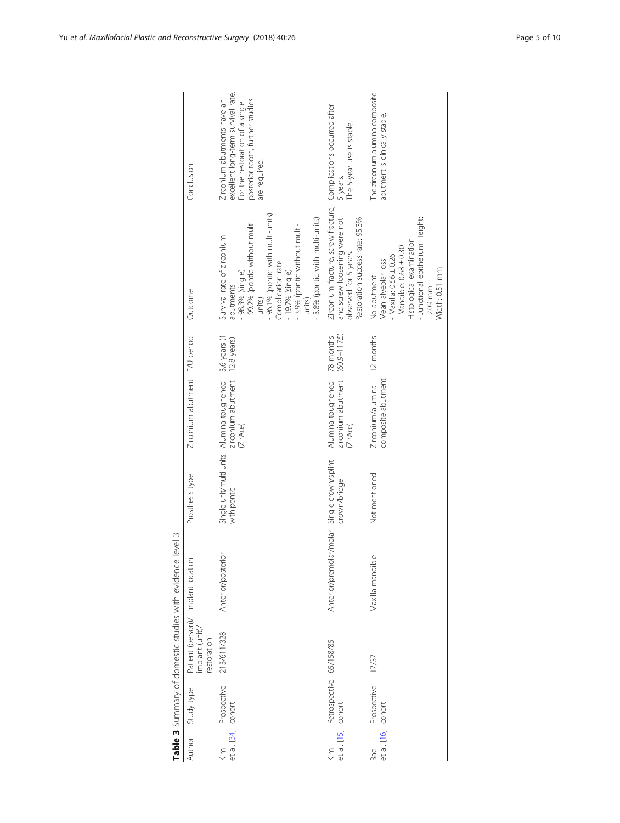<span id="page-4-0"></span>

| Author             | Study type                                    | Patient (person)/ Implant location<br>implant (unit)/<br>restoration |                                             | Prosthesis type                                          | Zirconium abutment F/U period                                                 | Outcome                                                                                                                                                                                                                                                       | Conclusion                                                                                                                                                |
|--------------------|-----------------------------------------------|----------------------------------------------------------------------|---------------------------------------------|----------------------------------------------------------|-------------------------------------------------------------------------------|---------------------------------------------------------------------------------------------------------------------------------------------------------------------------------------------------------------------------------------------------------------|-----------------------------------------------------------------------------------------------------------------------------------------------------------|
| Kim                | Prospective<br>et al. [34] cohort             | 213/611/328                                                          | Anterior/posterior                          | Single unit/multi-units Alumina-toughened<br>with pontic | Alumina-toughened 3.6 years (1-<br>zirconium abutment 12.8 years)<br>(ZirAce) | - 96.1% (pontic with multi-units)<br>3.8% (pontic with multi-units)<br>99.2% (pontic without multi-<br>-3.9% (pontic without multi-<br>Survival rate of zirconium<br>Complication rate<br>98.3% (single)<br>- 19.7% (single)<br>abutments<br>units)<br>units) | excellent long-term survival rate.<br>posterior tooth, further studies<br>Zirconium abutments have an<br>For the restoration of a single<br>are required. |
| Кiт                | Retrospective 65/158/85<br>et al. [15] cohort |                                                                      | Anterior/premolar/molar Single crown/splint | crown/bridge                                             | zirconium abutment (60.9-117.5)<br>Alumina-toughened 78 months<br>(ZirAce)    | Zirconium fracture, screw fracture, Complications occurred after<br>and screw loosening were not<br>Restoration success rate: 95.3%<br>observed for 5 years.                                                                                                  | The 5-year use is stable.<br>5 years.                                                                                                                     |
| et al. [16]<br>Bae | Prospective<br>cohort                         | 17/37                                                                | Maxilla mandible                            | Not mentioned                                            | Zirconium/alumina 12 months<br>composite abutment                             | - Junctional epithelium Height:<br>Histological examination<br>- Mandible: $0.68 \pm 0.30$<br>$Maxilla: 0.56 \pm 0.26$<br>Mean alveolar loss<br>Width: 0.51 mm<br>No abutment<br>2.09 mm                                                                      | The zirconium alumina composite<br>abutment is clinically stable.                                                                                         |

| Ò                    |
|----------------------|
|                      |
| avinence level       |
|                      |
|                      |
| J                    |
|                      |
|                      |
| .<br>S               |
|                      |
|                      |
| $\frac{1}{2}$        |
|                      |
|                      |
| ていきこう                |
| J                    |
|                      |
|                      |
|                      |
|                      |
|                      |
| mmmm un i n+ n n mmn |
|                      |
|                      |
|                      |
|                      |
|                      |
|                      |
|                      |
|                      |
|                      |
|                      |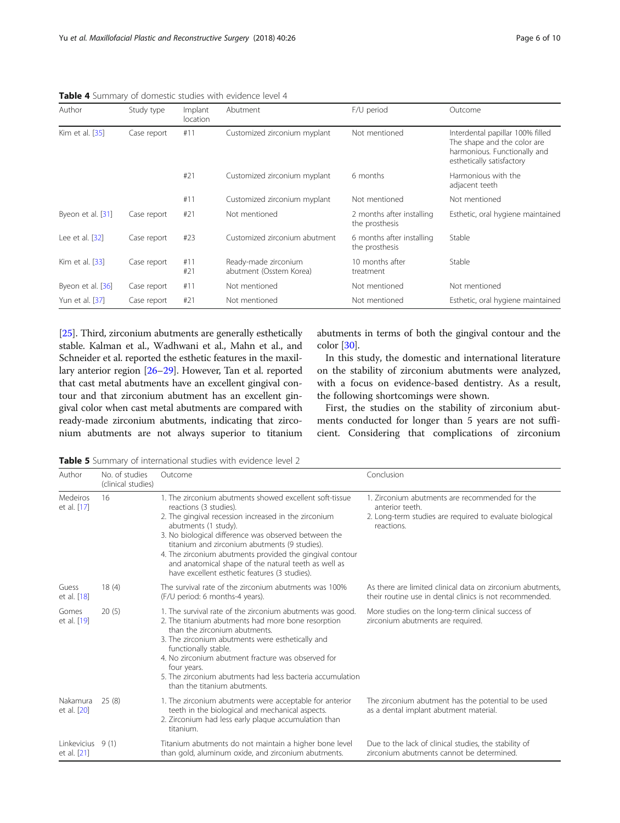| Author            | Study type  | Implant<br>location | Abutment                                        | F/U period                                  | Outcome                                                                                                                      |
|-------------------|-------------|---------------------|-------------------------------------------------|---------------------------------------------|------------------------------------------------------------------------------------------------------------------------------|
| Kim et al. [35]   | Case report | #11                 | Customized zirconium myplant                    | Not mentioned                               | Interdental papillar 100% filled<br>The shape and the color are<br>harmonious. Functionally and<br>esthetically satisfactory |
|                   |             | #21                 | Customized zirconium myplant                    | 6 months                                    | Harmonious with the<br>adjacent teeth                                                                                        |
|                   |             | #11                 | Customized zirconium myplant                    | Not mentioned                               | Not mentioned                                                                                                                |
| Byeon et al. [31] | Case report | #21                 | Not mentioned                                   | 2 months after installing<br>the prosthesis | Esthetic, oral hygiene maintained                                                                                            |
| Lee et al. [32]   | Case report | #23                 | Customized zirconium abutment                   | 6 months after installing<br>the prosthesis | Stable                                                                                                                       |
| Kim et al. [33]   | Case report | #11<br>#21          | Ready-made zirconium<br>abutment (Osstem Korea) | 10 months after<br>treatment                | Stable                                                                                                                       |
| Byeon et al. [36] | Case report | #11                 | Not mentioned                                   | Not mentioned                               | Not mentioned                                                                                                                |
| Yun et al. [37]   | Case report | #21                 | Not mentioned                                   | Not mentioned                               | Esthetic, oral hygiene maintained                                                                                            |

<span id="page-5-0"></span>Table 4 Summary of domestic studies with evidence level 4

[[25](#page-8-0)]. Third, zirconium abutments are generally esthetically stable. Kalman et al., Wadhwani et al., Mahn et al., and Schneider et al. reported the esthetic features in the maxillary anterior region [\[26](#page-8-0)–[29\]](#page-8-0). However, Tan et al. reported that cast metal abutments have an excellent gingival contour and that zirconium abutment has an excellent gingival color when cast metal abutments are compared with ready-made zirconium abutments, indicating that zirconium abutments are not always superior to titanium

abutments in terms of both the gingival contour and the color [[30](#page-8-0)].

In this study, the domestic and international literature on the stability of zirconium abutments were analyzed, with a focus on evidence-based dentistry. As a result, the following shortcomings were shown.

First, the studies on the stability of zirconium abutments conducted for longer than 5 years are not sufficient. Considering that complications of zirconium

Table 5 Summary of international studies with evidence level 2

| Author                          | No. of studies<br>(clinical studies) | Outcome                                                                                                                                                                                                                                                                                                                                                                                                                                         | Conclusion                                                                                                                                  |
|---------------------------------|--------------------------------------|-------------------------------------------------------------------------------------------------------------------------------------------------------------------------------------------------------------------------------------------------------------------------------------------------------------------------------------------------------------------------------------------------------------------------------------------------|---------------------------------------------------------------------------------------------------------------------------------------------|
| Medeiros<br>et al. [17]         | 16                                   | 1. The zirconium abutments showed excellent soft-tissue<br>reactions (3 studies).<br>2. The gingival recession increased in the zirconium<br>abutments (1 study).<br>3. No biological difference was observed between the<br>titanium and zirconium abutments (9 studies).<br>4. The zirconium abutments provided the gingival contour<br>and anatomical shape of the natural teeth as well as<br>have excellent esthetic features (3 studies). | 1. Zirconium abutments are recommended for the<br>anterior teeth.<br>2. Long-term studies are required to evaluate biological<br>reactions. |
| Guess<br>et al. [18]            | 18(4)                                | The survival rate of the zirconium abutments was 100%<br>(F/U period: 6 months-4 years).                                                                                                                                                                                                                                                                                                                                                        | As there are limited clinical data on zirconium abutments,<br>their routine use in dental clinics is not recommended.                       |
| Gomes<br>et al. [19]            | 20(5)                                | 1. The survival rate of the zirconium abutments was good.<br>2. The titanium abutments had more bone resorption<br>than the zirconium abutments.<br>3. The zirconium abutments were esthetically and<br>functionally stable.<br>4. No zirconium abutment fracture was observed for<br>four years.<br>5. The zirconium abutments had less bacteria accumulation<br>than the titanium abutments.                                                  | More studies on the long-term clinical success of<br>zirconium abutments are required.                                                      |
| Nakamura<br>et al. [20]         | 25(8)                                | 1. The zirconium abutments were acceptable for anterior<br>teeth in the biological and mechanical aspects.<br>2. Zirconium had less early plaque accumulation than<br>titanium.                                                                                                                                                                                                                                                                 | The zirconium abutment has the potential to be used<br>as a dental implant abutment material.                                               |
| Linkevicius 9(1)<br>et al. [21] |                                      | Titanium abutments do not maintain a higher bone level<br>than gold, aluminum oxide, and zirconium abutments.                                                                                                                                                                                                                                                                                                                                   | Due to the lack of clinical studies, the stability of<br>zirconium abutments cannot be determined.                                          |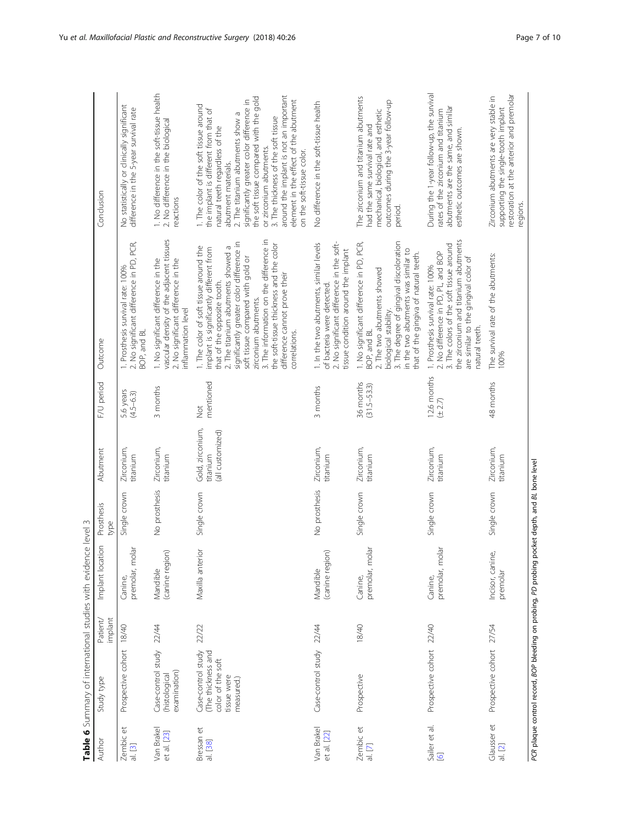<span id="page-6-0"></span>

|                                          | Table 6 Summary of international studies with evidence level 3                                 |                     |                                 |                    |                                                  |                              |                                                                                                                                                                                                                                                                                                                                                                                                          |                                                                                                                                                                                                                                                                                                                                                                                                                                                        |
|------------------------------------------|------------------------------------------------------------------------------------------------|---------------------|---------------------------------|--------------------|--------------------------------------------------|------------------------------|----------------------------------------------------------------------------------------------------------------------------------------------------------------------------------------------------------------------------------------------------------------------------------------------------------------------------------------------------------------------------------------------------------|--------------------------------------------------------------------------------------------------------------------------------------------------------------------------------------------------------------------------------------------------------------------------------------------------------------------------------------------------------------------------------------------------------------------------------------------------------|
| Author                                   | Study type                                                                                     | Patient/<br>implant | $\overline{5}$<br>Implant locat | Prosthesis<br>type | Abutment                                         | F/U period                   | Outcome                                                                                                                                                                                                                                                                                                                                                                                                  | Conclusion                                                                                                                                                                                                                                                                                                                                                                                                                                             |
| $\tilde{e}$<br><b>Zembic</b><br>$a.$ [3] | Prospective cohort                                                                             | 18/40               | premolar, molar<br>Canine,      | Single crown       | Zirconium,<br>titanium                           | 5.6 years<br>$(4.5 - 6.3)$   | 2. No significant difference in PD, PCR,<br>1. Prosthesis survival rate: 100%<br>BOP, and BL                                                                                                                                                                                                                                                                                                             | No statistically or clinically significant<br>difference in the 5-year survival rate                                                                                                                                                                                                                                                                                                                                                                   |
| Van Brakel<br>et al. [23]                | Case-control study<br>examination)<br>(histological                                            | 22/44               | (canine region)<br>Mandible     | No prosthesis      | Zirconium,<br>titanium                           | 3 months                     | vascular density of the adjacent tissues<br>1. No significant difference in the<br>2. No significant difference in the<br>inflammation level                                                                                                                                                                                                                                                             | 1. No difference in the soft-tissue health<br>2. No difference in the biological<br>reactions                                                                                                                                                                                                                                                                                                                                                          |
| Bressan et<br>al. [38]                   | Case-control study<br>The thickness and<br>color of the soft<br>tissue were<br>measured.)      | 22/22               | Maxilla anterior                | Single crown       | Gold, zirconium,<br>(all customized)<br>titanium | mentioned<br><b>S</b>        | 3. The information on the difference in<br>significantly greater color difference in<br>the soft-tissue thickness and the color<br>2. The titanium abutments showed a<br>1. The color of soft tissue around the<br>implant is significantly different from<br>soft tissue compared with gold or<br>difference cannot prove their<br>that of the opposite tooth.<br>zirconium abutments.<br>correlations. | around the implant is not an important<br>the soft tissue compared with the gold<br>element in the effect of the abutment<br>significantly greater color difference in<br>1. The color of the soft tissue around<br>the implant is different from that of<br>2. The titanium abutments show a<br>3. The thickness of the soft tissue<br>natural teeth regardless of the<br>or zirconium abutments.<br>on the soft-tissue color.<br>abutment materials. |
| Van Brakel<br>et al. [22]                | Case-control study                                                                             | 22/44               | (canine region)<br>Mandible     | No prosthesis      | Zirconium,<br>titanium                           | 3 months                     | 2. No significant difference in the soft-<br>1. In the two abutments, similar levels<br>tissue condition around the implant<br>of bacteria were detected                                                                                                                                                                                                                                                 | No difference in the soft-tissue health                                                                                                                                                                                                                                                                                                                                                                                                                |
| Zembic et<br>al. [7]                     | Prospective                                                                                    | 18/40               | premolar, molar<br>Canine,      | Single crown       | Zirconium,<br>titanium                           | 36 months<br>$(31.5 - 53.3)$ | 3. The degree of gingival discoloration<br>1. No significant difference in PD, PCR,<br>in the two abutments was similar to<br>that of the gingiva of natural teeth.<br>2. The two abutments showed<br>biological stability.<br>BOP, and BL                                                                                                                                                               | The zirconium and titanium abutments<br>outcomes during the 3-year follow-up<br>mechanical, biological, and esthetic<br>had the same survival rate and<br>period.                                                                                                                                                                                                                                                                                      |
| Sailer et al.<br>$\overline{6}$          | Prospective cohort                                                                             | 22/40               | premolar, molar<br>Canine,      | Single crown       | Zirconium,<br>titanium                           | 12.6 months<br>$(\pm 2.7)$   | the zirconium and titanium abutments<br>3. The colors of the soft tissue around<br>2. No difference in PD, PL, and BOP<br>are similar to the gingival color of<br>1. Prosthesis survival rate: 100%<br>natural teeth.                                                                                                                                                                                    | During the 1-year follow-up, the survival<br>abutments are the same, and similar<br>rates of the zirconium and titanium<br>esthetic outcomes are shown.                                                                                                                                                                                                                                                                                                |
| Glausser et<br>al. [2]                   | Prospective cohort                                                                             | 27/54               | Incisor, canine,<br>premolar    | Single crown       | Zirconium,<br>titanium                           | 48 months                    | The survival rate of the abutments:<br>100%                                                                                                                                                                                                                                                                                                                                                              | restoration at the anterior and premolar<br>Zirconium abutments are very stable in<br>supporting the single-tooth implant<br>regions.                                                                                                                                                                                                                                                                                                                  |
|                                          | PCR plaque control record, BOP bleeding on probing, PD probing pocket depth, and BL bone level |                     |                                 |                    |                                                  |                              |                                                                                                                                                                                                                                                                                                                                                                                                          |                                                                                                                                                                                                                                                                                                                                                                                                                                                        |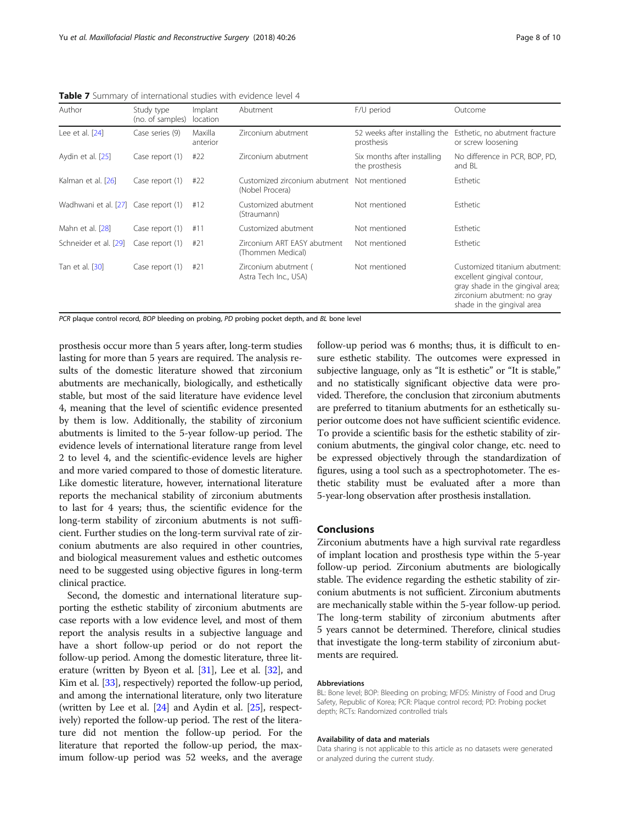| Author                               | Study type<br>(no. of samples) | Implant<br>location | Abutment                                                       | F/U period                                    | Outcome                                                                                                                                                       |
|--------------------------------------|--------------------------------|---------------------|----------------------------------------------------------------|-----------------------------------------------|---------------------------------------------------------------------------------------------------------------------------------------------------------------|
| Lee et al. [24]                      | Case series (9)                | Maxilla<br>anterior | Zirconium abutment                                             | 52 weeks after installing the<br>prosthesis   | Esthetic, no abutment fracture<br>or screw loosening                                                                                                          |
| Aydin et al. [25]                    | Case report (1)                | #22                 | Zirconium abutment                                             | Six months after installing<br>the prosthesis | No difference in PCR, BOP, PD,<br>and BL                                                                                                                      |
| Kalman et al. [26]                   | Case report (1)                | #22                 | Customized zirconium abutment Not mentioned<br>(Nobel Procera) |                                               | Esthetic                                                                                                                                                      |
| Wadhwani et al. [27] Case report (1) |                                | #12                 | Customized abutment<br>(Straumann)                             | Not mentioned                                 | Esthetic                                                                                                                                                      |
| Mahn et al. [28]                     | Case report (1)                | #11                 | Customized abutment                                            | Not mentioned                                 | Esthetic                                                                                                                                                      |
| Schneider et al. [29]                | Case report (1)                | #21                 | Zirconium ART EASY abutment<br>(Thommen Medical)               | Not mentioned                                 | Esthetic                                                                                                                                                      |
| Tan et al. [30]                      | Case report (1)                | #21                 | Zirconium abutment (<br>Astra Tech Inc., USA)                  | Not mentioned                                 | Customized titanium abutment:<br>excellent gingival contour,<br>gray shade in the gingival area;<br>zirconium abutment: no gray<br>shade in the gingival area |

<span id="page-7-0"></span>Table 7 Summary of international studies with evidence level 4

PCR plaque control record, BOP bleeding on probing, PD probing pocket depth, and BL bone level

prosthesis occur more than 5 years after, long-term studies lasting for more than 5 years are required. The analysis results of the domestic literature showed that zirconium abutments are mechanically, biologically, and esthetically stable, but most of the said literature have evidence level 4, meaning that the level of scientific evidence presented by them is low. Additionally, the stability of zirconium abutments is limited to the 5-year follow-up period. The evidence levels of international literature range from level 2 to level 4, and the scientific-evidence levels are higher and more varied compared to those of domestic literature. Like domestic literature, however, international literature reports the mechanical stability of zirconium abutments to last for 4 years; thus, the scientific evidence for the long-term stability of zirconium abutments is not sufficient. Further studies on the long-term survival rate of zirconium abutments are also required in other countries, and biological measurement values and esthetic outcomes need to be suggested using objective figures in long-term clinical practice.

Second, the domestic and international literature supporting the esthetic stability of zirconium abutments are case reports with a low evidence level, and most of them report the analysis results in a subjective language and have a short follow-up period or do not report the follow-up period. Among the domestic literature, three literature (written by Byeon et al. [\[31\]](#page-8-0), Lee et al. [\[32\]](#page-8-0), and Kim et al. [\[33](#page-8-0)], respectively) reported the follow-up period, and among the international literature, only two literature (written by Lee et al. [\[24\]](#page-8-0) and Aydin et al. [\[25\]](#page-8-0), respectively) reported the follow-up period. The rest of the literature did not mention the follow-up period. For the literature that reported the follow-up period, the maximum follow-up period was 52 weeks, and the average

follow-up period was 6 months; thus, it is difficult to ensure esthetic stability. The outcomes were expressed in subjective language, only as "It is esthetic" or "It is stable," and no statistically significant objective data were provided. Therefore, the conclusion that zirconium abutments are preferred to titanium abutments for an esthetically superior outcome does not have sufficient scientific evidence. To provide a scientific basis for the esthetic stability of zirconium abutments, the gingival color change, etc. need to be expressed objectively through the standardization of figures, using a tool such as a spectrophotometer. The esthetic stability must be evaluated after a more than 5-year-long observation after prosthesis installation.

# Conclusions

Zirconium abutments have a high survival rate regardless of implant location and prosthesis type within the 5-year follow-up period. Zirconium abutments are biologically stable. The evidence regarding the esthetic stability of zirconium abutments is not sufficient. Zirconium abutments are mechanically stable within the 5-year follow-up period. The long-term stability of zirconium abutments after 5 years cannot be determined. Therefore, clinical studies that investigate the long-term stability of zirconium abutments are required.

#### Abbreviations

BL: Bone level; BOP: Bleeding on probing; MFDS: Ministry of Food and Drug Safety, Republic of Korea; PCR: Plaque control record; PD: Probing pocket depth; RCTs: Randomized controlled trials

#### Availability of data and materials

Data sharing is not applicable to this article as no datasets were generated or analyzed during the current study.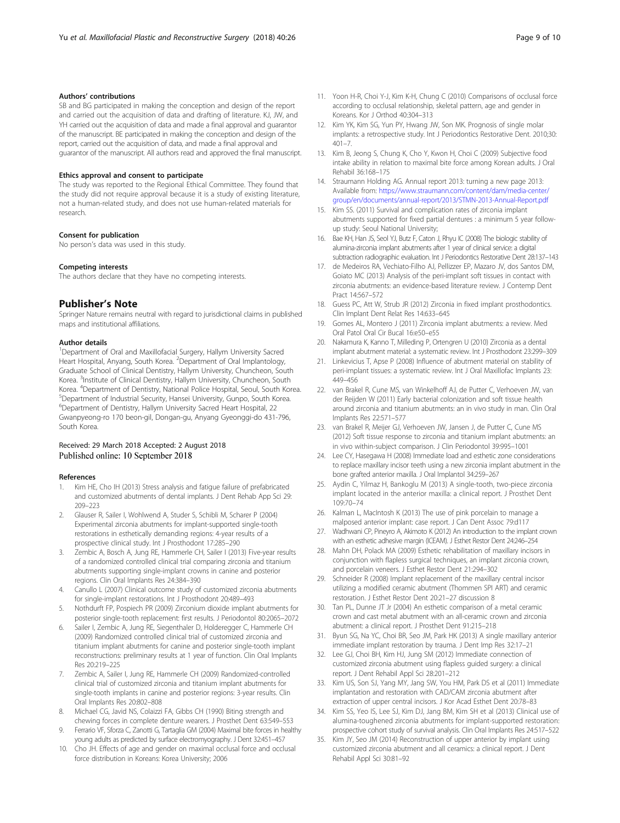# <span id="page-8-0"></span>Authors' contributions

SB and BG participated in making the conception and design of the report and carried out the acquisition of data and drafting of literature. KJ, JW, and YH carried out the acquisition of data and made a final approval and guarantor of the manuscript. BE participated in making the conception and design of the report, carried out the acquisition of data, and made a final approval and guarantor of the manuscript. All authors read and approved the final manuscript.

# Ethics approval and consent to participate

The study was reported to the Regional Ethical Committee. They found that the study did not require approval because it is a study of existing literature, not a human-related study, and does not use human-related materials for research.

#### Consent for publication

No person's data was used in this study.

#### Competing interests

The authors declare that they have no competing interests.

# Publisher's Note

Springer Nature remains neutral with regard to jurisdictional claims in published maps and institutional affiliations.

## Author details

<sup>1</sup>Department of Oral and Maxillofacial Surgery, Hallym University Sacred Heart Hospital, Anyang, South Korea. <sup>2</sup>Department of Oral Implantology, Graduate School of Clinical Dentistry, Hallym University, Chuncheon, South Korea. <sup>3</sup>Institute of Clinical Dentistry, Hallym University, Chuncheon, South Korea. <sup>4</sup> Department of Dentistry, National Police Hospital, Seoul, South Korea.<br><sup>5</sup> Department of Industrial Socurity, Hansei University Gunne, South Korea. <sup>5</sup>Department of Industrial Security, Hansei University, Gunpo, South Korea. 6 Department of Dentistry, Hallym University Sacred Heart Hospital, 22 Gwanpyeong-ro 170 beon-gil, Dongan-gu, Anyang Gyeonggi-do 431-796, South Korea.

# Received: 29 March 2018 Accepted: 2 August 2018 Published online: 10 September 2018

#### References

- 1. Kim HE, Cho IH (2013) Stress analysis and fatigue failure of prefabricated and customized abutments of dental implants. J Dent Rehab App Sci 29: 209–223
- 2. Glauser R, Sailer I, Wohlwend A, Studer S, Schibli M, Scharer P (2004) Experimental zirconia abutments for implant-supported single-tooth restorations in esthetically demanding regions: 4-year results of a prospective clinical study. Int J Prosthodont 17:285–290
- 3. Zembic A, Bosch A, Jung RE, Hammerle CH, Sailer I (2013) Five-year results of a randomized controlled clinical trial comparing zirconia and titanium abutments supporting single-implant crowns in canine and posterior regions. Clin Oral Implants Res 24:384–390
- Canullo L (2007) Clinical outcome study of customized zirconia abutments for single-implant restorations. Int J Prosthodont 20:489–493
- 5. Nothdurft FP, Pospiech PR (2009) Zirconium dioxide implant abutments for posterior single-tooth replacement: first results. J Periodontol 80:2065–2072
- 6. Sailer I, Zembic A, Jung RE, Siegenthaler D, Holderegger C, Hammerle CH (2009) Randomized controlled clinical trial of customized zirconia and titanium implant abutments for canine and posterior single-tooth implant reconstructions: preliminary results at 1 year of function. Clin Oral Implants Res 20:219–225
- Zembic A, Sailer I, Jung RE, Hammerle CH (2009) Randomized-controlled clinical trial of customized zirconia and titanium implant abutments for single-tooth implants in canine and posterior regions: 3-year results. Clin Oral Implants Res 20:802–808
- 8. Michael CG, Javid NS, Colaizzi FA, Gibbs CH (1990) Biting strength and chewing forces in complete denture wearers. J Prosthet Dent 63:549–553
- 9. Ferrario VF, Sforza C, Zanotti G, Tartaglia GM (2004) Maximal bite forces in healthy young adults as predicted by surface electromyography. J Dent 32:451–457
- 10. Cho JH. Effects of age and gender on maximal occlusal force and occlusal force distribution in Koreans: Korea University; 2006
- 11. Yoon H-R, Choi Y-J, Kim K-H, Chung C (2010) Comparisons of occlusal force according to occlusal relationship, skeletal pattern, age and gender in Koreans. Kor J Orthod 40:304–313
- 12. Kim YK, Kim SG, Yun PY, Hwang JW, Son MK. Prognosis of single molar implants: a retrospective study. Int J Periodontics Restorative Dent. 2010;30:  $401 - 7$
- 13. Kim B, Jeong S, Chung K, Cho Y, Kwon H, Choi C (2009) Subjective food intake ability in relation to maximal bite force among Korean adults. J Oral Rehabil 36:168–175
- 14. Straumann Holding AG. Annual report 2013: turning a new page 2013: Available from: [https://www.straumann.com/content/dam/media-center/](https://www.straumann.com/content/dam/media-center/group/en/documents/annual-report/2013/STMN-2013-Annual-Report.pdf) [group/en/documents/annual-report/2013/STMN-2013-Annual-Report.pdf](https://www.straumann.com/content/dam/media-center/group/en/documents/annual-report/2013/STMN-2013-Annual-Report.pdf)
- 15. Kim SS. (2011) Survival and complication rates of zirconia implant abutments supported for fixed partial dentures : a minimum 5 year followup study: Seoul National University;
- 16. Bae KH, Han JS, Seol YJ, Butz F, Caton J, Rhyu IC (2008) The biologic stability of alumina-zirconia implant abutments after 1 year of clinical service: a digital subtraction radiographic evaluation. Int J Periodontics Restorative Dent 28:137–143
- 17. de Medeiros RA, Vechiato-Filho AJ, Pellizzer EP, Mazaro JV, dos Santos DM, Goiato MC (2013) Analysis of the peri-implant soft tissues in contact with zirconia abutments: an evidence-based literature review. J Contemp Dent Pract 14:567–572
- 18. Guess PC, Att W, Strub JR (2012) Zirconia in fixed implant prosthodontics. Clin Implant Dent Relat Res 14:633–645
- 19. Gomes AL, Montero J (2011) Zirconia implant abutments: a review. Med Oral Patol Oral Cir Bucal 16:e50–e55
- 20. Nakamura K, Kanno T, Milleding P, Ortengren U (2010) Zirconia as a dental implant abutment material: a systematic review. Int J Prosthodont 23:299–309
- 21. Linkevicius T, Apse P (2008) Influence of abutment material on stability of peri-implant tissues: a systematic review. Int J Oral Maxillofac Implants 23: 449–456
- 22. van Brakel R, Cune MS, van Winkelhoff AJ, de Putter C, Verhoeven JW, van der Reijden W (2011) Early bacterial colonization and soft tissue health around zirconia and titanium abutments: an in vivo study in man. Clin Oral Implants Res 22:571–577
- 23. van Brakel R, Meijer GJ, Verhoeven JW, Jansen J, de Putter C, Cune MS (2012) Soft tissue response to zirconia and titanium implant abutments: an in vivo within-subject comparison. J Clin Periodontol 39:995–1001
- 24. Lee CY, Hasegawa H (2008) Immediate load and esthetic zone considerations to replace maxillary incisor teeth using a new zirconia implant abutment in the bone grafted anterior maxilla. J Oral Implantol 34:259–267
- 25. Aydin C, Yilmaz H, Bankoglu M (2013) A single-tooth, two-piece zirconia implant located in the anterior maxilla: a clinical report. J Prosthet Dent 109:70–74
- 26. Kalman L, MacIntosh K (2013) The use of pink porcelain to manage a malposed anterior implant: case report. J Can Dent Assoc 79:d117
- 27. Wadhwani CP, Pineyro A, Akimoto K (2012) An introduction to the implant crown with an esthetic adhesive margin (ICEAM). J Esthet Restor Dent 24:246–254
- 28. Mahn DH, Polack MA (2009) Esthetic rehabilitation of maxillary incisors in conjunction with flapless surgical techniques, an implant zirconia crown, and porcelain veneers. J Esthet Restor Dent 21:294–302
- 29. Schneider R (2008) Implant replacement of the maxillary central incisor utilizing a modified ceramic abutment (Thommen SPI ART) and ceramic restoration. J Esthet Restor Dent 20:21–27 discussion 8
- 30. Tan PL, Dunne JT Jr (2004) An esthetic comparison of a metal ceramic crown and cast metal abutment with an all-ceramic crown and zirconia abutment: a clinical report. J Prosthet Dent 91:215–218
- 31. Byun SG, Na YC, Choi BR, Seo JM, Park HK (2013) A single maxillary anterior immediate implant restoration by trauma. J Dent Imp Res 32:17–21
- 32. Lee GJ, Choi BH, Kim HJ, Jung SM (2012) Immediate connection of customized zirconia abutment using flapless guided surgery: a clinical report. J Dent Rehabil Appl Sci 28:201–212
- 33. Kim US, Son SJ, Yang MY, Jang SW, You HM, Park DS et al (2011) Immediate implantation and restoration with CAD/CAM zirconia abutment after extraction of upper central incisors. J Kor Acad Esthet Dent 20:78–83
- 34. Kim SS, Yeo IS, Lee SJ, Kim DJ, Jang BM, Kim SH et al (2013) Clinical use of alumina-toughened zirconia abutments for implant-supported restoration: prospective cohort study of survival analysis. Clin Oral Implants Res 24:517–522
- 35. Kim JY, Seo JM (2014) Reconstruction of upper anterior by implant using customized zirconia abutment and all ceramics: a clinical report. J Dent Rehabil Appl Sci 30:81–92